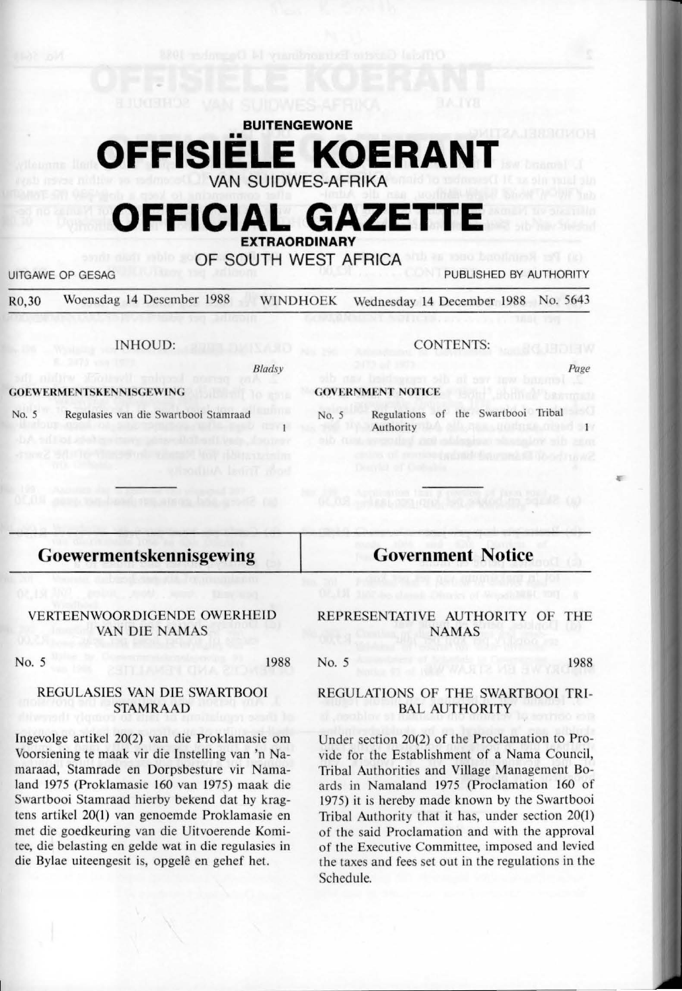# **BUITENGEWONE**  •• **OFFISIELE KOERANT**  VAN SUIDWES-AFRIKA

# **OFFICIAL GAZET**

**EXTRAORDINARY**  OF SOUTH WEST AFRICA

UITGAWE OP GESAG **PUBLISHED BY AUTHORITY** 

R0,30 Woensdag 14 Desember 1988 WINDHOEK Wednesday 14 December 1988 No. 5643

#### INHOUD:

*Bladsy* 

#### **GOEWERMENTSKENNISGEWING**

Regulasies van die Swartbooi Stamraad

CONTENTS:

**GOVERNMENT NOTICE** 

No. *5* Regulations of the Swartbooi Tribal Authority **Authority** 

# **Goewermen tskennisgewing**

#### VERTEENWOORDIGENDE OWERHElD VAN DIE NAMAS

No. 5

1988

#### REGULASIES VAN DlE SWARTBOOI STAMRAAD

lngevolge artikel 20(2) van die Proklamasie om Voorsiening te maak vir die Instelling van 'n Namaraad, Stamrade en Dorpsbesture vir Namaland 1975 (Proklamasie 160 van 1975) maak die Swartbooi Stamraad hierby bekend dat hy kragtens artikel 20(1) van genoemde Proklamasie en met die goedkeuring van die Uitvoerende Komitee, die belasting en gelde wat in die regulasies in die Bylae uiteengesit is, opgelê en gehef het.

REPRESENTATIVE AUTHORITY OF THE **NAMAS** 

**Government Notice** 

# REGULATIONS OF THE SWARTBOOI TRI-BAL AUTHORITY

Under section 20(2) of the Proclamation to Provide for the Establishment of a Nama Council, Tribal Authorities and Village Management Boards in Namaland 1975 (Proclamation 160 of 1975) it is hereby made known by the Swartbooi Tribal Authority that it has, under section  $20(1)$ of the said Proclamation and with the approval of the Executive Committee, imposed and levied the taxes and fees set out in the regulations in the Schedule.

o. 5 1988

Page

I""